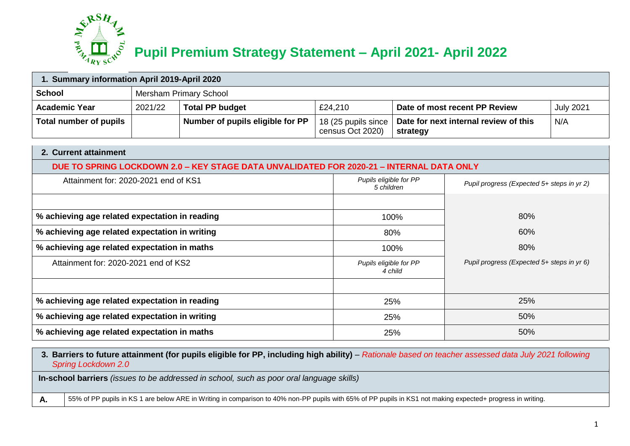

## **Pupil Premium Strategy Statement – April 2021- April 2022**

| 1. Summary information April 2019-April 2020   |         |                                                                                          |                                         |                                            |                                       |                  |  |  |
|------------------------------------------------|---------|------------------------------------------------------------------------------------------|-----------------------------------------|--------------------------------------------|---------------------------------------|------------------|--|--|
| <b>School</b>                                  |         | Mersham Primary School                                                                   |                                         |                                            |                                       |                  |  |  |
| <b>Academic Year</b>                           | 2021/22 | <b>Total PP budget</b>                                                                   | £24,210                                 |                                            | Date of most recent PP Review         | <b>July 2021</b> |  |  |
| <b>Total number of pupils</b>                  |         | Number of pupils eligible for PP                                                         | 18 (25 pupils since<br>census Oct 2020) | strategy                                   | Date for next internal review of this | N/A              |  |  |
| 2. Current attainment                          |         |                                                                                          |                                         |                                            |                                       |                  |  |  |
|                                                |         | DUE TO SPRING LOCKDOWN 2.0 - KEY STAGE DATA UNVALIDATED FOR 2020-21 - INTERNAL DATA ONLY |                                         |                                            |                                       |                  |  |  |
| Attainment for: 2020-2021 end of KS1           |         |                                                                                          | Pupils eligible for PP<br>5 children    | Pupil progress (Expected 5+ steps in yr 2) |                                       |                  |  |  |
|                                                |         |                                                                                          |                                         |                                            |                                       |                  |  |  |
| % achieving age related expectation in reading |         |                                                                                          |                                         | 100%                                       | 80%                                   |                  |  |  |
| % achieving age related expectation in writing |         |                                                                                          |                                         | 80%                                        | 60%                                   |                  |  |  |
| % achieving age related expectation in maths   |         |                                                                                          |                                         | 100%                                       | 80%                                   |                  |  |  |
| Attainment for: 2020-2021 end of KS2           |         |                                                                                          | Pupils eligible for PP<br>4 child       | Pupil progress (Expected 5+ steps in yr 6) |                                       |                  |  |  |
|                                                |         |                                                                                          |                                         |                                            |                                       |                  |  |  |
| % achieving age related expectation in reading |         |                                                                                          |                                         | 25%                                        | 25%                                   |                  |  |  |
| % achieving age related expectation in writing |         |                                                                                          | 25%                                     | 50%                                        |                                       |                  |  |  |
| % achieving age related expectation in maths   |         |                                                                                          |                                         | 50%<br>25%                                 |                                       |                  |  |  |

**3. Barriers to future attainment (for pupils eligible for PP, including high ability)** *– Rationale based on teacher assessed data July 2021 following Spring Lockdown 2.0* 

**In-school barriers** *(issues to be addressed in school, such as poor oral language skills)*

A. **A.** 55% of PP pupils in KS 1 are below ARE in Writing in comparison to 40% non-PP pupils with 65% of PP pupils in KS1 not making expected+ progress in writing.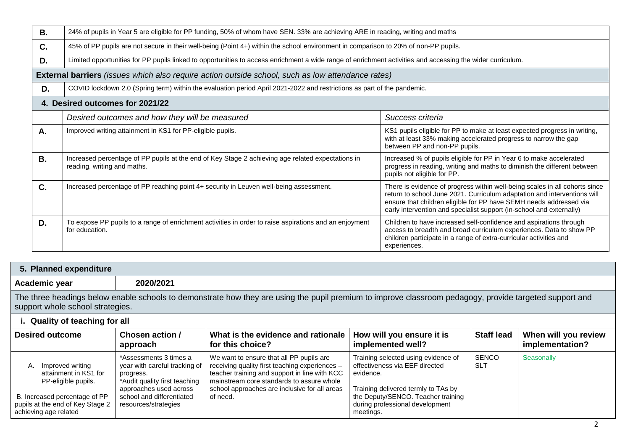| <b>B.</b> | 24% of pupils in Year 5 are eligible for PP funding, 50% of whom have SEN. 33% are achieving ARE in reading, writing and maths                             |                                                                                                                                                                                                                                                                                                       |  |  |  |  |
|-----------|------------------------------------------------------------------------------------------------------------------------------------------------------------|-------------------------------------------------------------------------------------------------------------------------------------------------------------------------------------------------------------------------------------------------------------------------------------------------------|--|--|--|--|
| C.        | 45% of PP pupils are not secure in their well-being (Point 4+) within the school environment in comparison to 20% of non-PP pupils.                        |                                                                                                                                                                                                                                                                                                       |  |  |  |  |
| D.        | Limited opportunities for PP pupils linked to opportunities to access enrichment a wide range of enrichment activities and accessing the wider curriculum. |                                                                                                                                                                                                                                                                                                       |  |  |  |  |
|           | <b>External barriers</b> (issues which also require action outside school, such as low attendance rates)                                                   |                                                                                                                                                                                                                                                                                                       |  |  |  |  |
| D.        | COVID lockdown 2.0 (Spring term) within the evaluation period April 2021-2022 and restrictions as part of the pandemic.                                    |                                                                                                                                                                                                                                                                                                       |  |  |  |  |
|           | 4. Desired outcomes for 2021/22                                                                                                                            |                                                                                                                                                                                                                                                                                                       |  |  |  |  |
|           | Desired outcomes and how they will be measured                                                                                                             | Success criteria                                                                                                                                                                                                                                                                                      |  |  |  |  |
| Α.        | Improved writing attainment in KS1 for PP-eligible pupils.                                                                                                 | KS1 pupils eligible for PP to make at least expected progress in writing,<br>with at least 33% making accelerated progress to narrow the gap<br>between PP and non-PP pupils.                                                                                                                         |  |  |  |  |
| <b>B.</b> | Increased percentage of PP pupils at the end of Key Stage 2 achieving age related expectations in<br>reading, writing and maths.                           | Increased % of pupils eligible for PP in Year 6 to make accelerated<br>progress in reading, writing and maths to diminish the different between<br>pupils not eligible for PP.                                                                                                                        |  |  |  |  |
| C.        | Increased percentage of PP reaching point 4+ security in Leuven well-being assessment.                                                                     | There is evidence of progress within well-being scales in all cohorts since<br>return to school June 2021. Curriculum adaptation and interventions will<br>ensure that children eligible for PP have SEMH needs addressed via<br>early intervention and specialist support (in-school and externally) |  |  |  |  |
| D.        | To expose PP pupils to a range of enrichment activities in order to raise aspirations and an enjoyment<br>for education.                                   | Children to have increased self-confidence and aspirations through<br>access to breadth and broad curriculum experiences. Data to show PP<br>children participate in a range of extra-curricular activities and<br>experiences.                                                                       |  |  |  |  |

| 5. Planned expenditure                                                                                                                                                                      |                                                                                                       |                                                                                                                                                                                          |                                                                                    |                            |                                         |  |
|---------------------------------------------------------------------------------------------------------------------------------------------------------------------------------------------|-------------------------------------------------------------------------------------------------------|------------------------------------------------------------------------------------------------------------------------------------------------------------------------------------------|------------------------------------------------------------------------------------|----------------------------|-----------------------------------------|--|
| Academic year                                                                                                                                                                               | 2020/2021                                                                                             |                                                                                                                                                                                          |                                                                                    |                            |                                         |  |
| The three headings below enable schools to demonstrate how they are using the pupil premium to improve classroom pedagogy, provide targeted support and<br>support whole school strategies. |                                                                                                       |                                                                                                                                                                                          |                                                                                    |                            |                                         |  |
| i. Quality of teaching for all                                                                                                                                                              |                                                                                                       |                                                                                                                                                                                          |                                                                                    |                            |                                         |  |
| <b>Desired outcome</b>                                                                                                                                                                      | Chosen action /<br>approach                                                                           | What is the evidence and rationale<br>for this choice?                                                                                                                                   | How will you ensure it is<br>implemented well?                                     | <b>Staff lead</b>          | When will you review<br>implementation? |  |
| Improved writing<br>А.<br>attainment in KS1 for<br>PP-eligible pupils.                                                                                                                      | *Assessments 3 times a<br>year with careful tracking of<br>progress.<br>*Audit quality first teaching | We want to ensure that all PP pupils are<br>receiving quality first teaching experiences -<br>teacher training and support in line with KCC<br>mainstream core standards to assure whole | Training selected using evidence of<br>effectiveness via EEF directed<br>evidence. | <b>SENCO</b><br><b>SLT</b> | Seasonally                              |  |
| B. Increased percentage of PP                                                                                                                                                               | approaches used across<br>school and differentiated                                                   | school approaches are inclusive for all areas<br>of need.                                                                                                                                | Training delivered termly to TAs by<br>the Deputy/SENCO. Teacher training          |                            |                                         |  |

during professional development

meetings.

pupils at the end of Key Stage 2

resources/strategies

achieving age related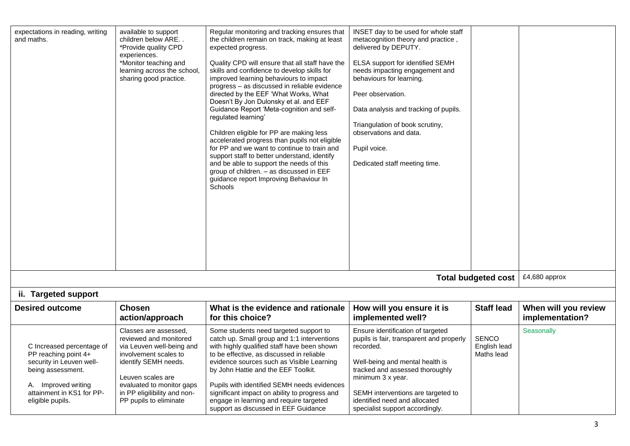| expectations in reading, writing<br>and maths.                                                                                                                             | available to support<br>children below ARE<br>*Provide quality CPD<br>experiences.<br>*Monitor teaching and<br>learning across the school,<br>sharing good practice.                                                                      | Regular monitoring and tracking ensures that<br>the children remain on track, making at least<br>expected progress.<br>Quality CPD will ensure that all staff have the<br>skills and confidence to develop skills for<br>improved learning behaviours to impact<br>progress - as discussed in reliable evidence<br>directed by the EEF 'What Works, What<br>Doesn't By Jon Dulonsky et al. and EEF<br>Guidance Report 'Meta-cognition and self-<br>regulated learning'<br>Children eligible for PP are making less<br>accelerated progress than pupils not eligible<br>for PP and we want to continue to train and<br>support staff to better understand, identify<br>and be able to support the needs of this<br>group of children. - as discussed in EEF<br>guidance report Improving Behaviour In<br><b>Schools</b> | INSET day to be used for whole staff<br>metacognition theory and practice,<br>delivered by DEPUTY.<br><b>ELSA support for identified SEMH</b><br>needs impacting engagement and<br>behaviours for learning.<br>Peer observation.<br>Data analysis and tracking of pupils.<br>Triangulation of book scrutiny,<br>observations and data.<br>Pupil voice.<br>Dedicated staff meeting time. |                                            |                                         |
|----------------------------------------------------------------------------------------------------------------------------------------------------------------------------|-------------------------------------------------------------------------------------------------------------------------------------------------------------------------------------------------------------------------------------------|------------------------------------------------------------------------------------------------------------------------------------------------------------------------------------------------------------------------------------------------------------------------------------------------------------------------------------------------------------------------------------------------------------------------------------------------------------------------------------------------------------------------------------------------------------------------------------------------------------------------------------------------------------------------------------------------------------------------------------------------------------------------------------------------------------------------|-----------------------------------------------------------------------------------------------------------------------------------------------------------------------------------------------------------------------------------------------------------------------------------------------------------------------------------------------------------------------------------------|--------------------------------------------|-----------------------------------------|
|                                                                                                                                                                            |                                                                                                                                                                                                                                           |                                                                                                                                                                                                                                                                                                                                                                                                                                                                                                                                                                                                                                                                                                                                                                                                                        |                                                                                                                                                                                                                                                                                                                                                                                         | <b>Total budgeted cost</b>                 | £4,680 approx                           |
| ii. Targeted support                                                                                                                                                       |                                                                                                                                                                                                                                           |                                                                                                                                                                                                                                                                                                                                                                                                                                                                                                                                                                                                                                                                                                                                                                                                                        |                                                                                                                                                                                                                                                                                                                                                                                         |                                            |                                         |
| <b>Desired outcome</b>                                                                                                                                                     | <b>Chosen</b><br>action/approach                                                                                                                                                                                                          | What is the evidence and rationale<br>for this choice?                                                                                                                                                                                                                                                                                                                                                                                                                                                                                                                                                                                                                                                                                                                                                                 | How will you ensure it is<br>implemented well?                                                                                                                                                                                                                                                                                                                                          | <b>Staff lead</b>                          | When will you review<br>implementation? |
| C Increased percentage of<br>PP reaching point 4+<br>security in Leuven well-<br>being assessment.<br>A. Improved writing<br>attainment in KS1 for PP-<br>eligible pupils. | Classes are assessed.<br>reviewed and monitored<br>via Leuven well-being and<br>involvement scales to<br>identify SEMH needs.<br>Leuven scales are<br>evaluated to monitor gaps<br>in PP eligilibility and non-<br>PP pupils to eliminate | Some students need targeted support to<br>catch up. Small group and 1:1 interventions<br>with highly qualified staff have been shown<br>to be effective, as discussed in reliable<br>evidence sources such as Visible Learning<br>by John Hattie and the EEF Toolkit.<br>Pupils with identified SEMH needs evidences<br>significant impact on ability to progress and<br>engage in learning and require targeted<br>support as discussed in EEF Guidance                                                                                                                                                                                                                                                                                                                                                               | Ensure identification of targeted<br>pupils is fair, transparent and properly<br>recorded.<br>Well-being and mental health is<br>tracked and assessed thoroughly<br>minimum 3 x year.<br>SEMH interventions are targeted to<br>identified need and allocated<br>specialist support accordingly.                                                                                         | <b>SENCO</b><br>English lead<br>Maths lead | Seasonally                              |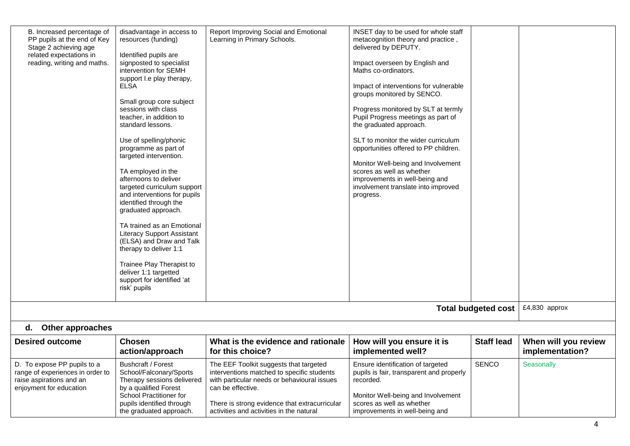| B. Increased percentage of<br>PP pupils at the end of Key<br>Stage 2 achieving age<br>related expectations in<br>reading, writing and maths. | disadvantage in access to<br>resources (funding)<br>Identified pupils are<br>signposted to specialist<br>intervention for SEMH<br>support I.e play therapy,<br>ELSA<br>Small group core subject<br>sessions with class<br>teacher, in addition to<br>standard lessons.<br>Use of spelling/phonic<br>programme as part of<br>targeted intervention.<br>TA employed in the<br>afternoons to deliver<br>targeted curriculum support<br>and interventions for pupils<br>identified through the<br>graduated approach.<br>TA trained as an Emotional<br><b>Literacy Support Assistant</b><br>(ELSA) and Draw and Talk<br>therapy to deliver 1:1<br>Trainee Play Therapist to<br>deliver 1:1 targetted<br>support for identified 'at<br>risk' pupils | Report Improving Social and Emotional<br>Learning in Primary Schools.                                                                                                                                                                                 | INSET day to be used for whole staff<br>metacognition theory and practice,<br>delivered by DEPUTY.<br>Impact overseen by English and<br>Maths co-ordinators.<br>Impact of interventions for vulnerable<br>groups monitored by SENCO.<br>Progress monitored by SLT at termly<br>Pupil Progress meetings as part of<br>the graduated approach.<br>SLT to monitor the wider curriculum<br>opportunities offered to PP children.<br>Monitor Well-being and Involvement<br>scores as well as whether<br>improvements in well-being and<br>involvement translate into improved<br>progress. |                            |                                         |
|----------------------------------------------------------------------------------------------------------------------------------------------|------------------------------------------------------------------------------------------------------------------------------------------------------------------------------------------------------------------------------------------------------------------------------------------------------------------------------------------------------------------------------------------------------------------------------------------------------------------------------------------------------------------------------------------------------------------------------------------------------------------------------------------------------------------------------------------------------------------------------------------------|-------------------------------------------------------------------------------------------------------------------------------------------------------------------------------------------------------------------------------------------------------|---------------------------------------------------------------------------------------------------------------------------------------------------------------------------------------------------------------------------------------------------------------------------------------------------------------------------------------------------------------------------------------------------------------------------------------------------------------------------------------------------------------------------------------------------------------------------------------|----------------------------|-----------------------------------------|
|                                                                                                                                              |                                                                                                                                                                                                                                                                                                                                                                                                                                                                                                                                                                                                                                                                                                                                                |                                                                                                                                                                                                                                                       |                                                                                                                                                                                                                                                                                                                                                                                                                                                                                                                                                                                       | <b>Total budgeted cost</b> | £4,830 approx                           |
|                                                                                                                                              |                                                                                                                                                                                                                                                                                                                                                                                                                                                                                                                                                                                                                                                                                                                                                |                                                                                                                                                                                                                                                       |                                                                                                                                                                                                                                                                                                                                                                                                                                                                                                                                                                                       |                            |                                         |
| <b>Other approaches</b><br>d.                                                                                                                |                                                                                                                                                                                                                                                                                                                                                                                                                                                                                                                                                                                                                                                                                                                                                |                                                                                                                                                                                                                                                       |                                                                                                                                                                                                                                                                                                                                                                                                                                                                                                                                                                                       |                            |                                         |
| <b>Desired outcome</b>                                                                                                                       | <b>Chosen</b><br>action/approach                                                                                                                                                                                                                                                                                                                                                                                                                                                                                                                                                                                                                                                                                                               | What is the evidence and rationale<br>for this choice?                                                                                                                                                                                                | How will you ensure it is<br>implemented well?                                                                                                                                                                                                                                                                                                                                                                                                                                                                                                                                        | <b>Staff lead</b>          | When will you review<br>implementation? |
| D. To expose PP pupils to a<br>range of experiences in order to<br>raise aspirations and an<br>enjoyment for education                       | <b>Bushcraft / Forest</b><br>School/Falconary/Sports<br>Therapy sessions delivered<br>by a qualified Forest<br>School Practitioner for<br>pupils identified through<br>the graduated approach.                                                                                                                                                                                                                                                                                                                                                                                                                                                                                                                                                 | The EEF Toolkit suggests that targeted<br>interventions matched to specific students<br>with particular needs or behavioural issues<br>can be effective.<br>There is strong evidence that extracurricular<br>activities and activities in the natural | Ensure identification of targeted<br>pupils is fair, transparent and properly<br>recorded.<br>Monitor Well-being and Involvement<br>scores as well as whether<br>improvements in well-being and                                                                                                                                                                                                                                                                                                                                                                                       | <b>SENCO</b>               | Seasonally                              |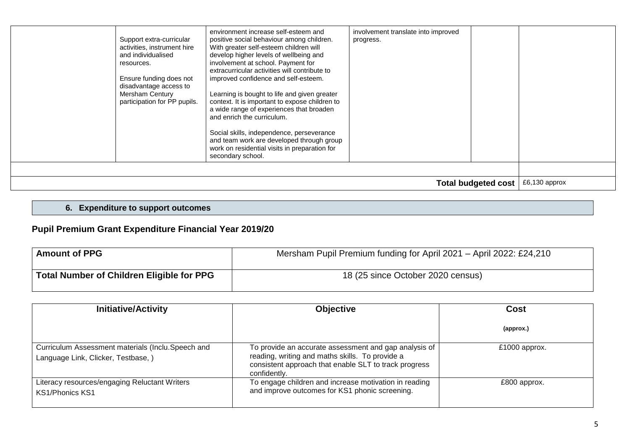| Support extra-curricular<br>activities, instrument hire<br>and individualised<br>resources.<br>Ensure funding does not<br>disadvantage access to<br><b>Mersham Century</b><br>participation for PP pupils. | environment increase self-esteem and<br>positive social behaviour among children.<br>With greater self-esteem children will<br>develop higher levels of wellbeing and<br>involvement at school. Payment for<br>extracurricular activities will contribute to<br>improved confidence and self-esteem.<br>Learning is bought to life and given greater<br>context. It is important to expose children to<br>a wide range of experiences that broaden<br>and enrich the curriculum.<br>Social skills, independence, perseverance<br>and team work are developed through group<br>work on residential visits in preparation for<br>secondary school. | involvement translate into improved<br>progress. |                            |               |
|------------------------------------------------------------------------------------------------------------------------------------------------------------------------------------------------------------|--------------------------------------------------------------------------------------------------------------------------------------------------------------------------------------------------------------------------------------------------------------------------------------------------------------------------------------------------------------------------------------------------------------------------------------------------------------------------------------------------------------------------------------------------------------------------------------------------------------------------------------------------|--------------------------------------------------|----------------------------|---------------|
|                                                                                                                                                                                                            |                                                                                                                                                                                                                                                                                                                                                                                                                                                                                                                                                                                                                                                  |                                                  | <b>Total budgeted cost</b> | £6,130 approx |

## **6. Expenditure to support outcomes**

## **Pupil Premium Grant Expenditure Financial Year 2019/20**

| <b>Amount of PPG</b>                             | Mersham Pupil Premium funding for April 2021 - April 2022: £24,210 |
|--------------------------------------------------|--------------------------------------------------------------------|
| <b>Total Number of Children Eligible for PPG</b> | 18 (25 since October 2020 census)                                  |

| <b>Initiative/Activity</b>                                                               | <b>Objective</b>                                                                                                                                                                  | Cost          |
|------------------------------------------------------------------------------------------|-----------------------------------------------------------------------------------------------------------------------------------------------------------------------------------|---------------|
|                                                                                          |                                                                                                                                                                                   | (approx.)     |
| Curriculum Assessment materials (Inclu.Speech and<br>Language Link, Clicker, Testbase, ) | To provide an accurate assessment and gap analysis of<br>reading, writing and maths skills. To provide a<br>consistent approach that enable SLT to track progress<br>confidently. | £1000 approx. |
| Literacy resources/engaging Reluctant Writers<br><b>KS1/Phonics KS1</b>                  | To engage children and increase motivation in reading<br>and improve outcomes for KS1 phonic screening.                                                                           | £800 approx.  |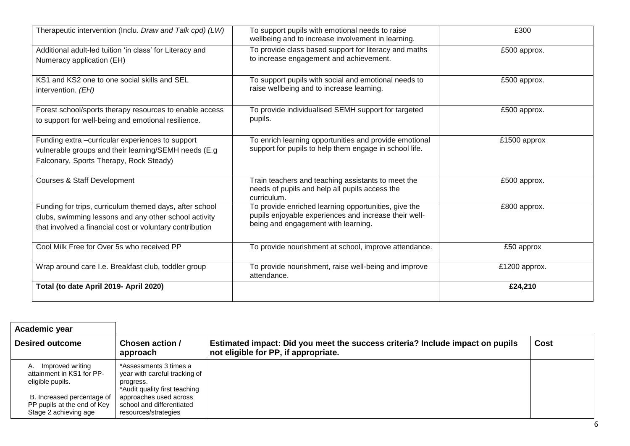| Therapeutic intervention (Inclu. Draw and Talk cpd) (LW)                                                                                                                     | To support pupils with emotional needs to raise<br>wellbeing and to increase involvement in learning.                                                | £300          |
|------------------------------------------------------------------------------------------------------------------------------------------------------------------------------|------------------------------------------------------------------------------------------------------------------------------------------------------|---------------|
| Additional adult-led tuition 'in class' for Literacy and<br>Numeracy application (EH)                                                                                        | To provide class based support for literacy and maths<br>to increase engagement and achievement.                                                     | £500 approx.  |
| KS1 and KS2 one to one social skills and SEL<br>intervention. (EH)                                                                                                           | To support pupils with social and emotional needs to<br>raise wellbeing and to increase learning.                                                    | £500 approx.  |
| Forest school/sports therapy resources to enable access<br>to support for well-being and emotional resilience.                                                               | To provide individualised SEMH support for targeted<br>pupils.                                                                                       | £500 approx.  |
| Funding extra -curricular experiences to support<br>vulnerable groups and their learning/SEMH needs (E.g<br>Falconary, Sports Therapy, Rock Steady)                          | To enrich learning opportunities and provide emotional<br>support for pupils to help them engage in school life.                                     | £1500 approx  |
| <b>Courses &amp; Staff Development</b>                                                                                                                                       | Train teachers and teaching assistants to meet the<br>needs of pupils and help all pupils access the<br>curriculum.                                  | £500 approx.  |
| Funding for trips, curriculum themed days, after school<br>clubs, swimming lessons and any other school activity<br>that involved a financial cost or voluntary contribution | To provide enriched learning opportunities, give the<br>pupils enjoyable experiences and increase their well-<br>being and engagement with learning. | £800 approx.  |
| Cool Milk Free for Over 5s who received PP                                                                                                                                   | To provide nourishment at school, improve attendance.                                                                                                | £50 approx    |
| Wrap around care I.e. Breakfast club, toddler group                                                                                                                          | To provide nourishment, raise well-being and improve<br>attendance.                                                                                  | £1200 approx. |
| Total (to date April 2019- April 2020)                                                                                                                                       |                                                                                                                                                      | £24,210       |

| Academic year                                                                                                                                                 |                                                                                                                                                                                      |                                                                                                                       |      |
|---------------------------------------------------------------------------------------------------------------------------------------------------------------|--------------------------------------------------------------------------------------------------------------------------------------------------------------------------------------|-----------------------------------------------------------------------------------------------------------------------|------|
| <b>Desired outcome</b>                                                                                                                                        | Chosen action /<br>approach                                                                                                                                                          | Estimated impact: Did you meet the success criteria? Include impact on pupils<br>not eligible for PP, if appropriate. | Cost |
| Improved writing<br>А.<br>attainment in KS1 for PP-<br>eligible pupils.<br>B. Increased percentage of<br>PP pupils at the end of Key<br>Stage 2 achieving age | *Assessments 3 times a<br>year with careful tracking of<br>progress.<br>*Audit quality first teaching<br>approaches used across<br>school and differentiated<br>resources/strategies |                                                                                                                       |      |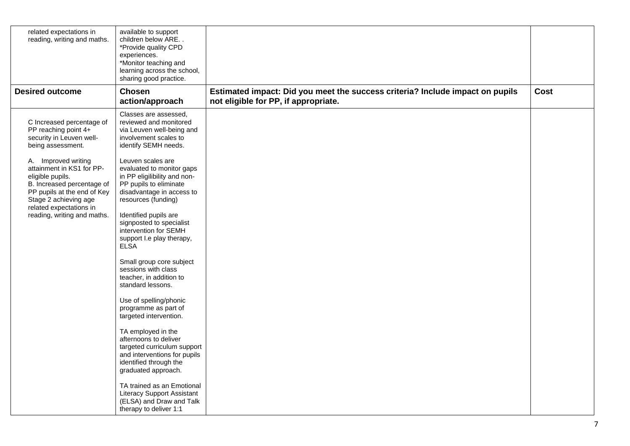| related expectations in<br>reading, writing and maths.                                                                                                                                | available to support<br>children below ARE<br>*Provide quality CPD<br>experiences.<br>*Monitor teaching and<br>learning across the school,<br>sharing good practice. |                                                                                                                       |             |
|---------------------------------------------------------------------------------------------------------------------------------------------------------------------------------------|----------------------------------------------------------------------------------------------------------------------------------------------------------------------|-----------------------------------------------------------------------------------------------------------------------|-------------|
| <b>Desired outcome</b>                                                                                                                                                                | <b>Chosen</b><br>action/approach                                                                                                                                     | Estimated impact: Did you meet the success criteria? Include impact on pupils<br>not eligible for PP, if appropriate. | <b>Cost</b> |
| C Increased percentage of<br>PP reaching point 4+<br>security in Leuven well-<br>being assessment.                                                                                    | Classes are assessed.<br>reviewed and monitored<br>via Leuven well-being and<br>involvement scales to<br>identify SEMH needs.                                        |                                                                                                                       |             |
| A. Improved writing<br>attainment in KS1 for PP-<br>eligible pupils.<br>B. Increased percentage of<br>PP pupils at the end of Key<br>Stage 2 achieving age<br>related expectations in | Leuven scales are<br>evaluated to monitor gaps<br>in PP eligilibility and non-<br>PP pupils to eliminate<br>disadvantage in access to<br>resources (funding)         |                                                                                                                       |             |
| reading, writing and maths.                                                                                                                                                           | Identified pupils are<br>signposted to specialist<br>intervention for SEMH<br>support I.e play therapy,<br><b>ELSA</b>                                               |                                                                                                                       |             |
|                                                                                                                                                                                       | Small group core subject<br>sessions with class<br>teacher, in addition to<br>standard lessons.                                                                      |                                                                                                                       |             |
|                                                                                                                                                                                       | Use of spelling/phonic<br>programme as part of<br>targeted intervention.                                                                                             |                                                                                                                       |             |
|                                                                                                                                                                                       | TA employed in the<br>afternoons to deliver<br>targeted curriculum support<br>and interventions for pupils<br>identified through the<br>graduated approach.          |                                                                                                                       |             |
|                                                                                                                                                                                       | TA trained as an Emotional<br><b>Literacy Support Assistant</b><br>(ELSA) and Draw and Talk<br>therapy to deliver 1:1                                                |                                                                                                                       |             |